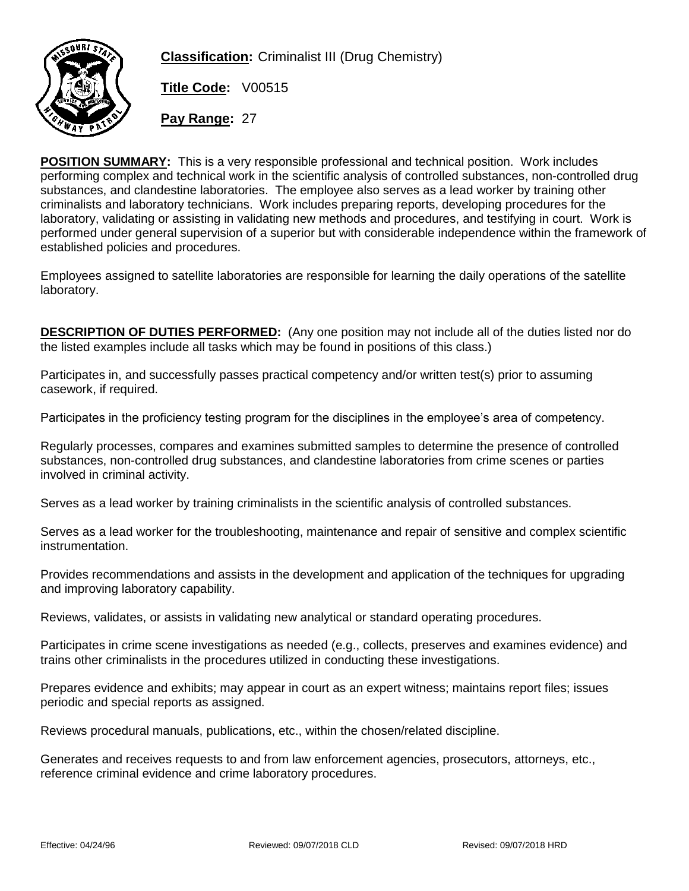

**Classification:** Criminalist III (Drug Chemistry)

**Title Code:** V00515

**Pay Range:** 27

**POSITION SUMMARY:** This is a very responsible professional and technical position. Work includes performing complex and technical work in the scientific analysis of controlled substances, non-controlled drug substances, and clandestine laboratories. The employee also serves as a lead worker by training other criminalists and laboratory technicians. Work includes preparing reports, developing procedures for the laboratory, validating or assisting in validating new methods and procedures, and testifying in court. Work is performed under general supervision of a superior but with considerable independence within the framework of established policies and procedures.

Employees assigned to satellite laboratories are responsible for learning the daily operations of the satellite laboratory.

**DESCRIPTION OF DUTIES PERFORMED:** (Any one position may not include all of the duties listed nor do the listed examples include all tasks which may be found in positions of this class.)

Participates in, and successfully passes practical competency and/or written test(s) prior to assuming casework, if required.

Participates in the proficiency testing program for the disciplines in the employee's area of competency.

Regularly processes, compares and examines submitted samples to determine the presence of controlled substances, non-controlled drug substances, and clandestine laboratories from crime scenes or parties involved in criminal activity.

Serves as a lead worker by training criminalists in the scientific analysis of controlled substances.

Serves as a lead worker for the troubleshooting, maintenance and repair of sensitive and complex scientific instrumentation.

Provides recommendations and assists in the development and application of the techniques for upgrading and improving laboratory capability.

Reviews, validates, or assists in validating new analytical or standard operating procedures.

Participates in crime scene investigations as needed (e.g., collects, preserves and examines evidence) and trains other criminalists in the procedures utilized in conducting these investigations.

Prepares evidence and exhibits; may appear in court as an expert witness; maintains report files; issues periodic and special reports as assigned.

Reviews procedural manuals, publications, etc., within the chosen/related discipline.

Generates and receives requests to and from law enforcement agencies, prosecutors, attorneys, etc., reference criminal evidence and crime laboratory procedures.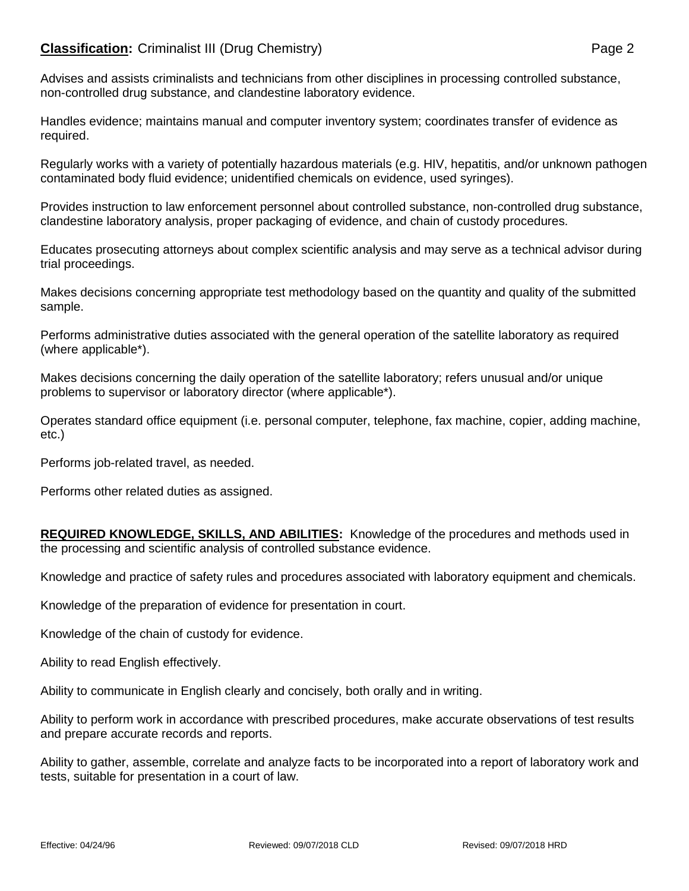## **Classification:** Criminalist III (Drug Chemistry) **Page 2** Page 2

Advises and assists criminalists and technicians from other disciplines in processing controlled substance, non-controlled drug substance, and clandestine laboratory evidence.

Handles evidence; maintains manual and computer inventory system; coordinates transfer of evidence as required.

Regularly works with a variety of potentially hazardous materials (e.g. HIV, hepatitis, and/or unknown pathogen contaminated body fluid evidence; unidentified chemicals on evidence, used syringes).

Provides instruction to law enforcement personnel about controlled substance, non-controlled drug substance, clandestine laboratory analysis, proper packaging of evidence, and chain of custody procedures.

Educates prosecuting attorneys about complex scientific analysis and may serve as a technical advisor during trial proceedings.

Makes decisions concerning appropriate test methodology based on the quantity and quality of the submitted sample.

Performs administrative duties associated with the general operation of the satellite laboratory as required (where applicable\*).

Makes decisions concerning the daily operation of the satellite laboratory; refers unusual and/or unique problems to supervisor or laboratory director (where applicable\*).

Operates standard office equipment (i.e. personal computer, telephone, fax machine, copier, adding machine, etc.)

Performs job-related travel, as needed.

Performs other related duties as assigned.

**REQUIRED KNOWLEDGE, SKILLS, AND ABILITIES:** Knowledge of the procedures and methods used in the processing and scientific analysis of controlled substance evidence.

Knowledge and practice of safety rules and procedures associated with laboratory equipment and chemicals.

Knowledge of the preparation of evidence for presentation in court.

Knowledge of the chain of custody for evidence.

Ability to read English effectively.

Ability to communicate in English clearly and concisely, both orally and in writing.

Ability to perform work in accordance with prescribed procedures, make accurate observations of test results and prepare accurate records and reports.

Ability to gather, assemble, correlate and analyze facts to be incorporated into a report of laboratory work and tests, suitable for presentation in a court of law.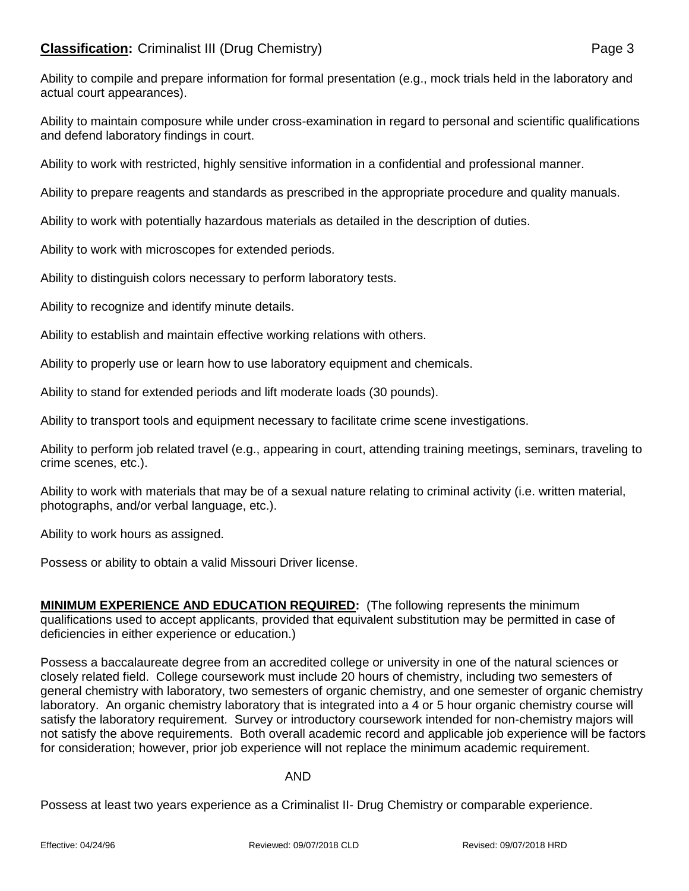Ability to compile and prepare information for formal presentation (e.g., mock trials held in the laboratory and actual court appearances).

Ability to maintain composure while under cross-examination in regard to personal and scientific qualifications and defend laboratory findings in court.

Ability to work with restricted, highly sensitive information in a confidential and professional manner.

Ability to prepare reagents and standards as prescribed in the appropriate procedure and quality manuals.

Ability to work with potentially hazardous materials as detailed in the description of duties.

Ability to work with microscopes for extended periods.

Ability to distinguish colors necessary to perform laboratory tests.

Ability to recognize and identify minute details.

Ability to establish and maintain effective working relations with others.

Ability to properly use or learn how to use laboratory equipment and chemicals.

Ability to stand for extended periods and lift moderate loads (30 pounds).

Ability to transport tools and equipment necessary to facilitate crime scene investigations.

Ability to perform job related travel (e.g., appearing in court, attending training meetings, seminars, traveling to crime scenes, etc.).

Ability to work with materials that may be of a sexual nature relating to criminal activity (i.e. written material, photographs, and/or verbal language, etc.).

Ability to work hours as assigned.

Possess or ability to obtain a valid Missouri Driver license.

**MINIMUM EXPERIENCE AND EDUCATION REQUIRED:** (The following represents the minimum qualifications used to accept applicants, provided that equivalent substitution may be permitted in case of deficiencies in either experience or education.)

Possess a baccalaureate degree from an accredited college or university in one of the natural sciences or closely related field. College coursework must include 20 hours of chemistry, including two semesters of general chemistry with laboratory, two semesters of organic chemistry, and one semester of organic chemistry laboratory. An organic chemistry laboratory that is integrated into a 4 or 5 hour organic chemistry course will satisfy the laboratory requirement. Survey or introductory coursework intended for non-chemistry majors will not satisfy the above requirements. Both overall academic record and applicable job experience will be factors for consideration; however, prior job experience will not replace the minimum academic requirement.

## AND

Possess at least two years experience as a Criminalist II- Drug Chemistry or comparable experience.